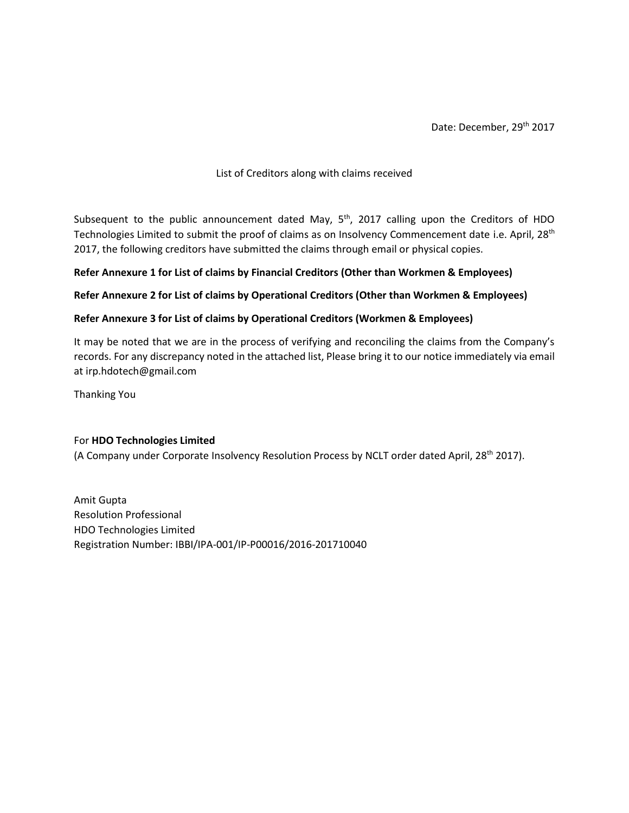Date: December, 29<sup>th</sup> 2017

### List of Creditors along with claims received

Subsequent to the public announcement dated May,  $5<sup>th</sup>$ , 2017 calling upon the Creditors of HDO Technologies Limited to submit the proof of claims as on Insolvency Commencement date i.e. April, 28<sup>th</sup> 2017, the following creditors have submitted the claims through email or physical copies.

# **Refer Annexure 1 for List of claims by Financial Creditors (Other than Workmen & Employees)**

# **Refer Annexure 2 for List of claims by Operational Creditors (Other than Workmen & Employees)**

# **Refer Annexure 3 for List of claims by Operational Creditors (Workmen & Employees)**

It may be noted that we are in the process of verifying and reconciling the claims from the Company's records. For any discrepancy noted in the attached list, Please bring it to our notice immediately via email at irp.hdotech@gmail.com

Thanking You

### For **HDO Technologies Limited**

(A Company under Corporate Insolvency Resolution Process by NCLT order dated April, 28th 2017).

Amit Gupta Resolution Professional HDO Technologies Limited Registration Number: IBBI/IPA-001/IP-P00016/2016-201710040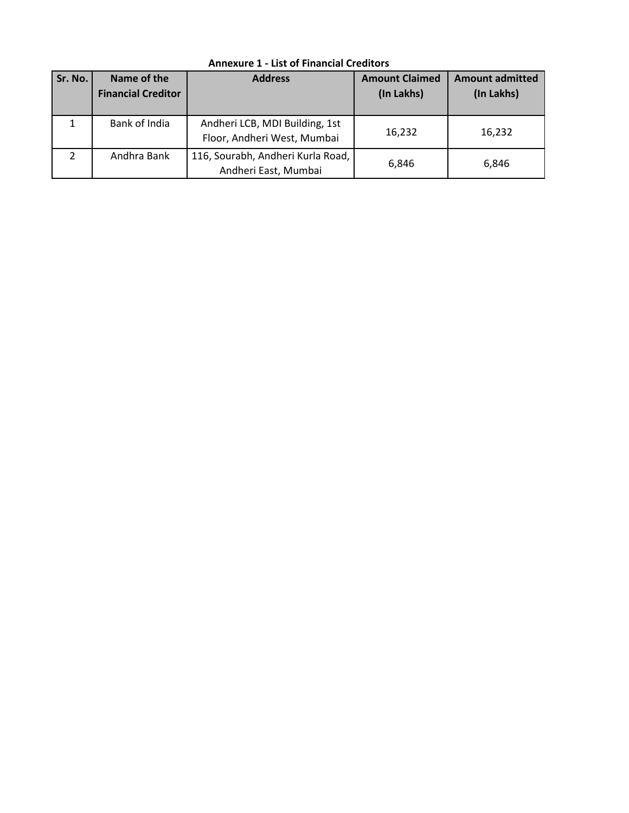| Sr. No.       | Name of the<br><b>Financial Creditor</b> | <b>Address</b>                                                | <b>Amount Claimed</b><br>(In Lakhs) | <b>Amount admitted</b><br>(In Lakhs) |
|---------------|------------------------------------------|---------------------------------------------------------------|-------------------------------------|--------------------------------------|
|               | Bank of India                            | Andheri LCB, MDI Building, 1st<br>Floor, Andheri West, Mumbai | 16,232                              | 16,232                               |
| $\mathcal{P}$ | Andhra Bank                              | 116, Sourabh, Andheri Kurla Road,<br>Andheri East, Mumbai     | 6,846                               | 6,846                                |

**Annexure 1 - List of Financial Creditors**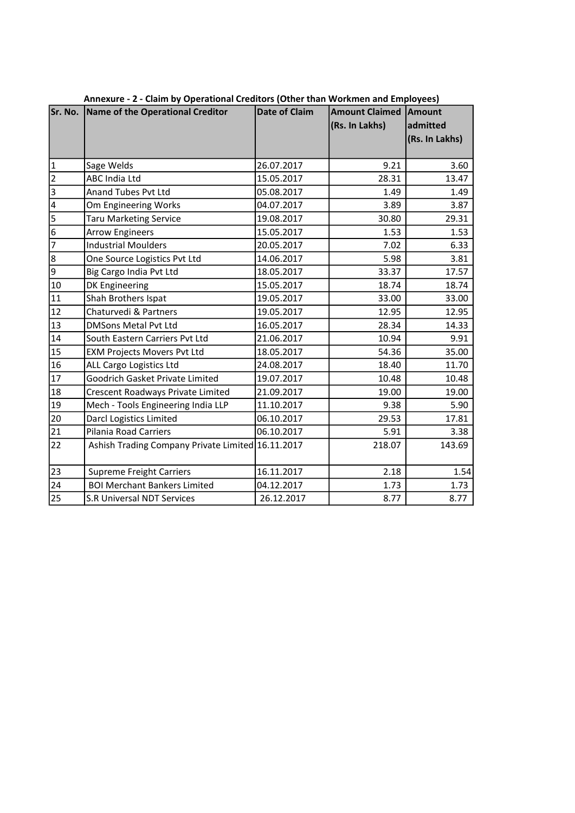|                         | Sr. No. Name of the Operational Creditor          | <b>Date of Claim</b> | <b>Amount Claimed Amount</b><br>(Rs. In Lakhs) | admitted<br>(Rs. In Lakhs) |
|-------------------------|---------------------------------------------------|----------------------|------------------------------------------------|----------------------------|
| $\mathbf 1$             | Sage Welds                                        | 26.07.2017           | 9.21                                           | 3.60                       |
| $\overline{2}$          | <b>ABC India Ltd</b>                              | 15.05.2017           | 28.31                                          | 13.47                      |
| $\overline{3}$          | Anand Tubes Pvt Ltd                               | 05.08.2017           | 1.49                                           | 1.49                       |
| $\overline{\mathbf{r}}$ | Om Engineering Works                              | 04.07.2017           | 3.89                                           | 3.87                       |
| 5                       | <b>Taru Marketing Service</b>                     | 19.08.2017           | 30.80                                          | 29.31                      |
| 6                       | <b>Arrow Engineers</b>                            | 15.05.2017           | 1.53                                           | 1.53                       |
| $\overline{7}$          | <b>Industrial Moulders</b>                        | 20.05.2017           | 7.02                                           | 6.33                       |
| $\bf 8$                 | One Source Logistics Pvt Ltd                      | 14.06.2017           | 5.98                                           | 3.81                       |
| 9                       | Big Cargo India Pvt Ltd                           | 18.05.2017           | 33.37                                          | 17.57                      |
| 10                      | DK Engineering                                    | 15.05.2017           | 18.74                                          | 18.74                      |
| 11                      | Shah Brothers Ispat                               | 19.05.2017           | 33.00                                          | 33.00                      |
| 12                      | Chaturvedi & Partners                             | 19.05.2017           | 12.95                                          | 12.95                      |
| 13                      | <b>DMSons Metal Pvt Ltd</b>                       | 16.05.2017           | 28.34                                          | 14.33                      |
| 14                      | South Eastern Carriers Pvt Ltd                    | 21.06.2017           | 10.94                                          | 9.91                       |
| 15                      | <b>EXM Projects Movers Pvt Ltd</b>                | 18.05.2017           | 54.36                                          | 35.00                      |
| 16                      | ALL Cargo Logistics Ltd                           | 24.08.2017           | 18.40                                          | 11.70                      |
| 17                      | <b>Goodrich Gasket Private Limited</b>            | 19.07.2017           | 10.48                                          | 10.48                      |
| 18                      | Crescent Roadways Private Limited                 | 21.09.2017           | 19.00                                          | 19.00                      |
| 19                      | Mech - Tools Engineering India LLP                | 11.10.2017           | 9.38                                           | 5.90                       |
| 20                      | Darcl Logistics Limited                           | 06.10.2017           | 29.53                                          | 17.81                      |
| 21                      | <b>Pilania Road Carriers</b>                      | 06.10.2017           | 5.91                                           | 3.38                       |
| 22                      | Ashish Trading Company Private Limited 16.11.2017 |                      | 218.07                                         | 143.69                     |
| 23                      | <b>Supreme Freight Carriers</b>                   | 16.11.2017           | 2.18                                           | 1.54                       |
| 24                      | <b>BOI Merchant Bankers Limited</b>               | 04.12.2017           | 1.73                                           | 1.73                       |
| 25                      | <b>S.R Universal NDT Services</b>                 | 26.12.2017           | 8.77                                           | 8.77                       |

Annexure - 2 - Claim by Operational Creditors (Other than Workmen and Employees)